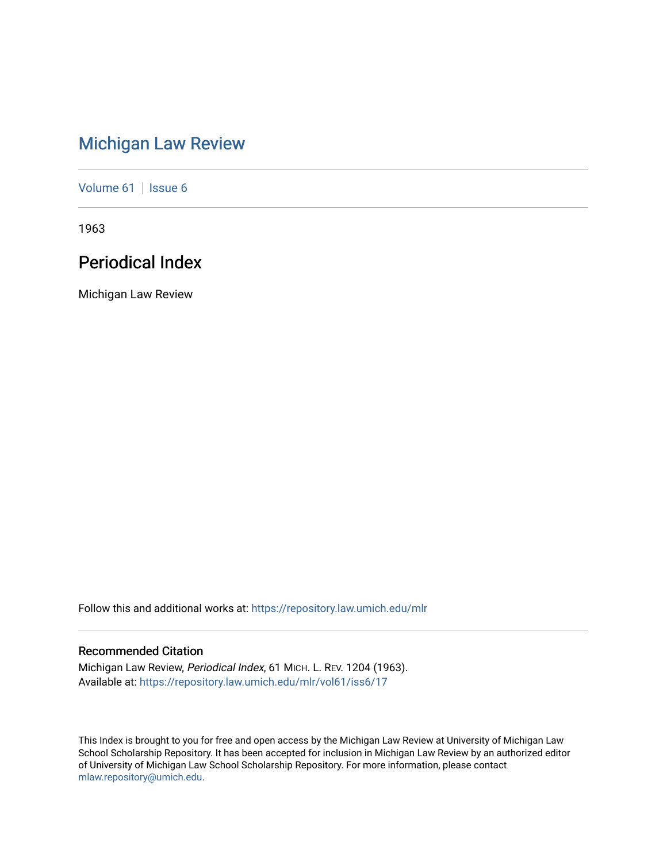# [Michigan Law Review](https://repository.law.umich.edu/mlr)

[Volume 61](https://repository.law.umich.edu/mlr/vol61) | [Issue 6](https://repository.law.umich.edu/mlr/vol61/iss6)

1963

# Periodical Index

Michigan Law Review

Follow this and additional works at: [https://repository.law.umich.edu/mlr](https://repository.law.umich.edu/mlr?utm_source=repository.law.umich.edu%2Fmlr%2Fvol61%2Fiss6%2F17&utm_medium=PDF&utm_campaign=PDFCoverPages) 

# Recommended Citation

Michigan Law Review, Periodical Index, 61 MICH. L. REV. 1204 (1963). Available at: [https://repository.law.umich.edu/mlr/vol61/iss6/17](https://repository.law.umich.edu/mlr/vol61/iss6/17?utm_source=repository.law.umich.edu%2Fmlr%2Fvol61%2Fiss6%2F17&utm_medium=PDF&utm_campaign=PDFCoverPages) 

This Index is brought to you for free and open access by the Michigan Law Review at University of Michigan Law School Scholarship Repository. It has been accepted for inclusion in Michigan Law Review by an authorized editor of University of Michigan Law School Scholarship Repository. For more information, please contact [mlaw.repository@umich.edu.](mailto:mlaw.repository@umich.edu)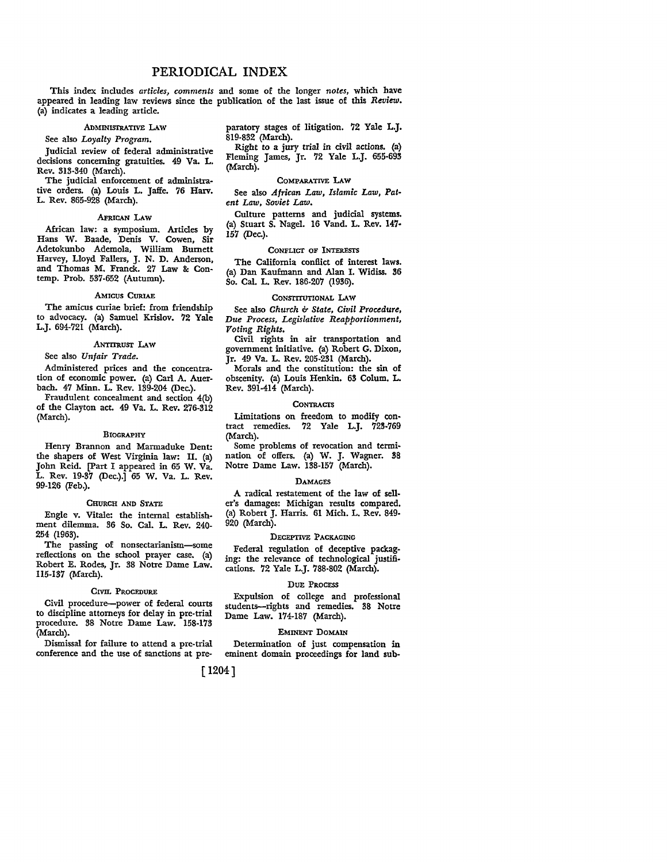# PERIODICAL INDEX

This index includes *articles, comments* and some of the longer *notes,* which have appeared in leading law reviews since the publication of the last issue of this *Review.*  (a) indicates a leading article.

# ADMINISTRATIVE LAW

# See also *Loyalty Program.*

Judicial review of federal administrative decisions concerning gratuities. 49 Va. L. Rev. 313-340 (March).

The judicial enforcement of administrative orders. (a) Louis L. Jaffe. 76 Harv. L. Rev. 865-928 (March).

#### AFRICAN LAW

African law: a symposium. Articles by Hans W. Baade, Denis V. Cowen, Sir Adetokunbo Ademola, William Burnett Harvey, Lloyd Fallers, J. N. D. Anderson, and Thomas M. Franck. 27 Law & Contemp. Prob. 537-652 (Autumn).

#### AMICUS CURIAE

The amicus curiae brief: from friendship to advocacy. (a) Samuel Krislov. 72 Yale L.J. 694-721 (March).

#### ANTITRUST LAW

# See also *Unfair Trade.*

Administered prices and the concentration of economic power. (a) Carl A. Auerbach. 47 Minn. L. Rev. 139-204 (Dec.).

Fraudulent concealment and section 4(b) of the Clayton act. 49 Va. L. Rev. 276-312 (March).

#### BIOGRAPHY

Henry Brannon and Marmaduke Dent: the shapers of West Virginia law: II. (a) John Reid. [Part I appeared in 65 W. Va. L. Rev. 19-37 (Dec.).] 65 W. Va. L. Rev. 99-126 (Feb.).

#### CHURCH AND STATE

Engle v. Vitale: the internal establishment dilemma. 36 So. Cal. L. Rev. 240- 254 (1963).

The passing of nonsectarianism-some reflections on the school prayer case. (a) Robert E. Rodes, Jr. 38 Notre Dame Law. 115-137 (March).

### CIVIL PROCEDURE

Civil procedure-power of federal courts to discipline attorneys for delay in pre-trial procedure. 38 Notre Dame Law. 158-173 (March).

Dismissal for failure to attend a pre-trial conference and the use of sanctions at preparatory stages of litigation. 72 Yale L.J. 819-832 (March).

Right to a jury trial in civil actions. (a) Fleming James, Jr. 72 Yale L.J. 655-693 (March).

#### COMPARATIVE LAW

See also *African Law, Islamic Law, Pat• ent Law, Soviet Law.* 

Culture patterns and judicial systems. (a) Stuart S. Nagel. 16 Vand. L. Rev. 147• 157 (Dec.).

# CONFLICT OF INTERESTS

The California conflict of interest laws. (a) Dan Kaufmann and Alan I. Widiss. 36 So. Cal. L. Rev. 186-207 (1936).

### CONSTITUTIONAL LAW

See also *Church & State, Civil Procedure, Due Process, Legislative Reapportionment, Voting Rights.* 

Civil rights in air transportation and government initiative. (a) Robert G. Dixon, Jr. 49 Va. L. Rev. 205-231 (March).

Morals and the constitution: the sin of obscenity. (a) Louis Henkin. 63 Colum. L. Rev. 391-414 (March).

#### **CONTRACTS**

Limitations on freedom to modify con• tract remedies. 72 Yale L.J. 723-769 (March).

Some problems of revocation and termi• nation of offers. (a) W. J. Wagner. 38 Notre Dame Law. 138-157 (March).

#### **DAMAGES**

A radical restatement of the law of seller's damages: Michigan results compared. (a) Robert J. Harris. 61 Mich. L. Rev. 849- 920 (March).

#### DECEPTIVE PACKAGING

Federal regulation of deceptive packaging: the relevance of technological justifications. 72 Yale L.J. 788-802 (March).

# DUE PROCESS

Expulsion of college and professional students-rights and remedies. 38 Notre Dame Law. 174-187 (March).

#### EMINENT DOMAIN

Determination of just compensation in eminent domain proceedings for land sub-

[ 1204]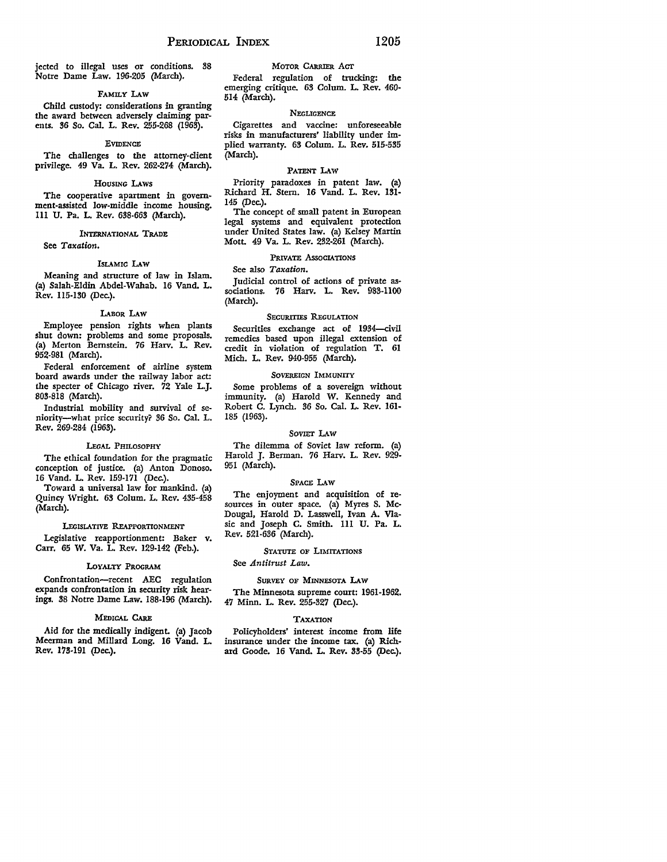jected to illegal uses or conditions. 38 Notre Dame Law. 196-205 (March).

### FAMILY LAW

Child custody: considerations in granting the award between adversely claiming parents. 36 So. Cal. L. Rev. 255-268 (1963).

#### **EVIDENCE**

The challenges to the attorney-client privilege. 49 Va. L. Rev. 262-274 (March).

#### HOUSING LAws

The cooperative apartment in government-assisted low-middle income housing. Ill U. Pa. L. Rev. 638-663 (March).

# INTERNATIONAL TRADE

See *Taxation.* 

#### ISLAMIC LAW

Meaning and structure of law in Islam. (a) Salah-Eldin Abdel-Wahab. 16 Vand. L. *Rev.* 115-130 (Dec.).

## LABOR LAW

Employee pension rights when plants shut down: problems and some proposals. (a) Merton Bernstein. 76 Harv. L. Rev. 952-981 (March).

Federal enforcement of airline system board awards under the railway labor act: the specter of Chicago river. 72 Yale L.J. 803-818 (March).

Industrial mobility and survival of seniority-what price security? 36 So. Cal. L. Rev. 269-284 (1963).

#### LEGAL PHILOSOPHY

The ethical foundation for the pragmatic conception of justice. (a) Anton Donoso. 16 Vand. L. Rev. 159-171 (Dec.).

Toward a universal law for mankind. (a) Quincy Wright. 63 Colum. L. Rev. 435-458 (March).

# LEGISLATIVE REAPPORTIONMENT

Legislative reapportionment: Baker v. Carr. 65 W. Va. L. Rev. 129-142 (Feb.).

#### LoYALTY PROGRAM

Confrontation-recent AEC regulation expands confrontation in security risk hearings. 38 Notre Dame Law. 188-196 (March).

# MEDICAL CARE

Aid for the medically indigent. (a) Jacob Meerman and Millard Long. 16 Vand. L. Rev. 173-191 (Dec.).

# MOTOR CARRIER ACT

Federal regulation of trucking: the emerging critique. 63 Colum. L. Rev. 460- 514 (March).

# **NEGLIGENCE**

Cigarettes and vaccine: unforeseeable risks in manufacturers' liability under implied warranty. 63 Colum. L. Rev. 515-535 (March).

#### PATENT LAw

Priority paradoxes in patent law. (a) Richard H. Stern. 16 Vand. L. Rev. 131- 145 (Dec.).

The concept of small patent in European legal systems and equivalent protection under United States law. (a) Kelsey Martin Mott. 49 Va. L. Rev. 232-261 (March).

### PRIVATE ASSOCIATIONS

#### See also *Taxation.*

Judicial control of actions of private as• sociations. 76 Harv. L. Rev. 983-1100 (March).

# SECURITIES REGULATION

Securities exchange act of 1934-civil remedies based upon illegal extension of credit in violation of regulation T. 61 Mich. L. Rev. 940-955 (March).

## SOVEREIGN IMMUNITY

Some problems of a sovereign without immunity. (a) Harold W. Kennedy and Robert C. Lynch. 36 So. Cal. L. Rev. 161- 185 (1963).

#### SOVIET LAW

The dilemma of Soviet law reform. (a) Harold J. Berman. 76 Harv. L. Rev. 929- 951 (March).

#### SPACE LAW

The enjoyment and acquisition of resources in outer space. (a) Myres S. Mc-Dougal, Harold D. Lasswell, Ivan A. Viasic and Joseph C. Smith. 111 U. Pa. L. Rev. 521-636 (March).

#### STATUTE OF LIMITATIONS

See *Antitrust Law.* 

### SURVEY OF MINNESOTA LAW

The Minnesota supreme court: 1961-1962. 47 Minn. L. Rev. 255-327 (Dec.).

#### **TAXATION**

Policyholders' interest income from life insurance under the income tax. (a) Richard Goode. 16 Vand. L. Rev. 33-55 (Dec.).